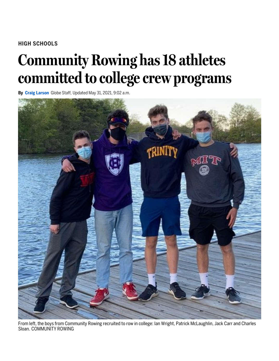### **HIGH SCHOOLS**

# **Community Rowing has18 athletes committed to college crew programs**

**By Craig [Larson](https://www.bostonglobe.com/about/staff-list/staff/craig-larson/?p1=Article_Byline)** Globe Staff, Updated May 31, 2021, 9:02 a.m.



From left, the boys from Community Rowing recruited to row in college: Ian Wright, Patrick McLaughlin, Jack Carr and Charles Sloan. COMMUNITY ROWING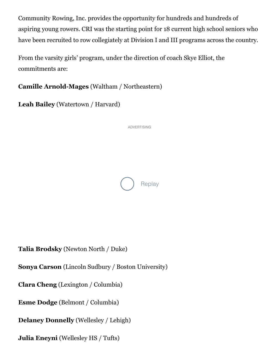Community Rowing, Inc. provides the opportunity for hundreds and hundreds of aspiring young rowers. CRI was the starting point for 18 current high school seniors who have been recruited to row collegiately at Division I and III programs across the country.

From the varsity girls' program, under the direction of coach Skye Elliot, the commitments are:

**Camille Arnold-Mages** (Waltham / Northeastern)

**Leah Bailey** (Watertown / Harvard)



**Talia Brodsky** (Newton North / Duke)

**Sonya Carson** (Lincoln Sudbury / Boston University)

**Clara Cheng** (Lexington / Columbia)

**Esme Dodge** (Belmont / Columbia)

**Delaney Donnelly** (Wellesley / Lehigh)

**Julia Eneyni** (Wellesley HS / Tufts)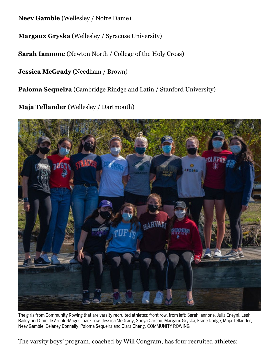**Neev Gamble** (Wellesley / Notre Dame)

**Margaux Gryska** (Wellesley / Syracuse University)

**Sarah Iannone** (Newton North / College of the Holy Cross)

**Jessica McGrady** (Needham / Brown)

**Paloma Sequeira** (Cambridge Rindge and Latin / Stanford University)

**Maja Tellander** (Wellesley / Dartmouth)



The girls from Community Rowing that are varsity recruited athletes; front row, from left: Sarah Iannone, Julia Eneyni, Leah Bailey and Camille Arnold-Mages; back row: Jessica McGrady, Sonya Carson, Margaux Gryska, Esme Dodge, Maja Tellander, Neev Gamble, Delaney Donnelly, Paloma Sequeira and Clara Cheng. COMMUNITY ROWING

The varsity boys' program, coached by Will Congram, has four recruited athletes: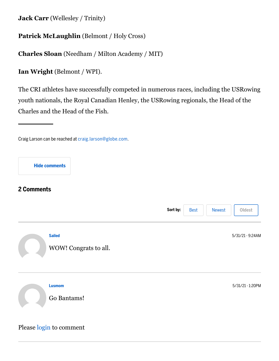**Jack Carr** (Wellesley / Trinity)

## **Patrick McLaughlin** (Belmont / Holy Cross)

**Charles Sloan** (Needham / Milton Academy / MIT)

**Ian Wright** (Belmont / WPI).

The CRI athletes have successfully competed in numerous races, including the USRowing youth nationals, the Royal Canadian Henley, the USRowing regionals, the Head of the Charles and the Head of the Fish.

#### **Hide comments**

## **2 Comments**



Craig Larson can be reached at [craig.larson@globe.com](mailto:craig.larson@globe.com).